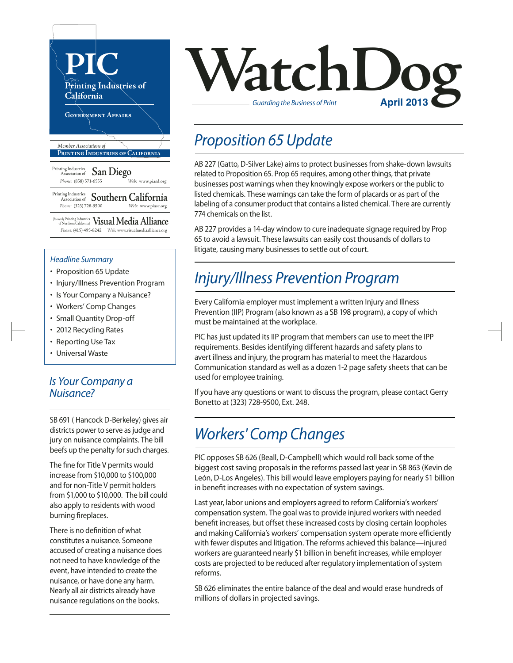

#### *Headline Summary*

- Proposition 65 Update
- Injury/Illness Prevention Program
- Is Your Company a Nuisance?
- Workers' Comp Changes
- Small Quantity Drop-off
- 2012 Recycling Rates
- Reporting Use Tax
- Universal Waste

#### *Is Your Company a Nuisance?*

SB 691 ( Hancock D-Berkeley) gives air districts power to serve as judge and jury on nuisance complaints. The bill beefs up the penalty for such charges.

The fine for Title V permits would increase from \$10,000 to \$100,000 and for non-Title V permit holders from \$1,000 to \$10,000. The bill could also apply to residents with wood burning fireplaces.

There is no definition of what constitutes a nuisance. Someone accused of creating a nuisance does not need to have knowledge of the event, have intended to create the nuisance, or have done any harm. Nearly all air districts already have nuisance regulations on the books.

# **VatchDoger** *Guarding the Business of Print*

#### *Proposition 65 Update*

AB 227 (Gatto, D-Silver Lake) aims to protect businesses from shake-down lawsuits related to Proposition 65. Prop 65 requires, among other things, that private businesses post warnings when they knowingly expose workers or the public to listed chemicals. These warnings can take the form of placards or as part of the labeling of a consumer product that contains a listed chemical. There are currently 774 chemicals on the list.

AB 227 provides a 14-day window to cure inadequate signage required by Prop 65 to avoid a lawsuit. These lawsuits can easily cost thousands of dollarsto litigate, causing many businesses to settle out of court.

#### *Injury/Illness Prevention Program*

Every California employer must implement a written Injury and Illness Prevention (IIP) Program (also known as a SB 198 program), a copy of which must be maintained at the workplace.

PIC has just updated its IIP program that members can use to meet the IPP requirements. Besides identifying different hazards and safety plans to avert illness and injury, the program has material to meet the Hazardous Communication standard as well as a dozen 1-2 page safety sheets that can be used for employee training.

If you have any questions or want to discuss the program, please contact Gerry Bonetto at (323) 728-9500, Ext. 248.

## *Workers' Comp Changes*

PIC opposes SB 626 (Beall, D-Campbell) which would roll back some of the biggest cost saving proposals in the reforms passed last year in SB 863 (Kevin de León, D-Los Angeles). This bill would leave employers paying for nearly \$1 billion in benefit increases with no expectation of system savings.

Last year, labor unions and employers agreed to reform California's workers' compensation system. The goal was to provide injured workers with needed benefit increases, but offset these increased costs by closing certain loopholes and making California's workers' compensation system operate more efficiently with fewer disputes and litigation. The reforms achieved this balance—injured workers are guaranteed nearly \$1 billion in benefit increases, while employer costs are projected to be reduced after regulatory implementation of system reforms.

SB 626 eliminates the entire balance of the deal and would erase hundreds of millions of dollars in projected savings.